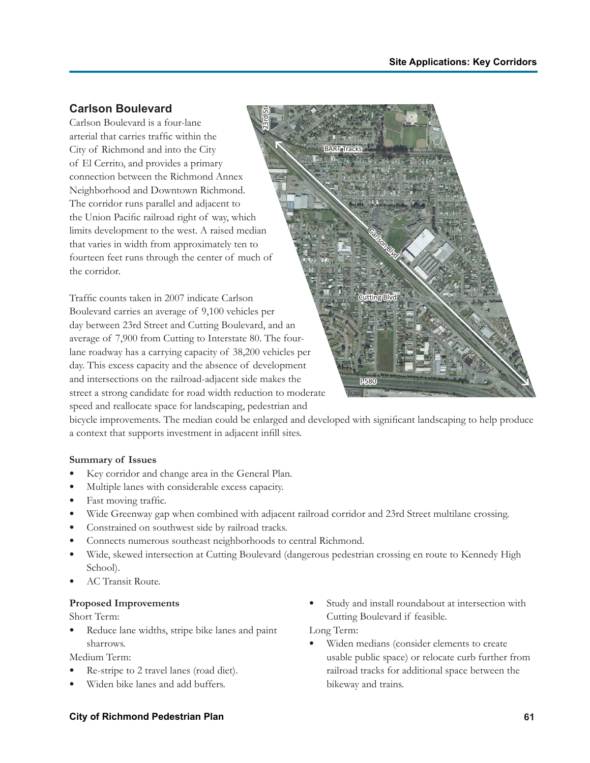## **Carlson Boulevard**

Carlson Boulevard is a four-lane arterial that carries traffic within the City of Richmond and into the City of El Cerrito, and provides a primary connection between the Richmond Annex Neighborhood and Downtown Richmond. The corridor runs parallel and adjacent to the Union Pacific railroad right of way, which limits development to the west. A raised median that varies in width from approximately ten to fourteen feet runs through the center of much of the corridor. 23rd St

Traffic counts taken in 2007 indicate Carlson Boulevard carries an average of 9,100 vehicles per day between 23rd Street and Cutting Boulevard, and an average of 7,900 from Cutting to Interstate 80. The fourlane roadway has a carrying capacity of 38,200 vehicles per day. This excess capacity and the absence of development and intersections on the railroad-adjacent side makes the street a strong candidate for road width reduction to moderate speed and reallocate space for landscaping, pedestrian and



bicycle improvements. The median could be enlarged and developed with significant landscaping to help produce a context that supports investment in adjacent infill sites.

## **Summary of Issues**

- Key corridor and change area in the General Plan.
- Multiple lanes with considerable excess capacity.
- Fast moving traffic.
- Wide Greenway gap when combined with adjacent railroad corridor and 23rd Street multilane crossing.
- Constrained on southwest side by railroad tracks.
- Connects numerous southeast neighborhoods to central Richmond.
- Wide, skewed intersection at Cutting Boulevard (dangerous pedestrian crossing en route to Kennedy High School).
- AC Transit Route.

## **Proposed Improvements**

Short Term:

Reduce lane widths, stripe bike lanes and paint sharrows.

Medium Term:

- Re-stripe to 2 travel lanes (road diet).
- Widen bike lanes and add buffers.

Study and install roundabout at intersection with Cutting Boulevard if feasible.

Long Term:

Widen medians (consider elements to create usable public space) or relocate curb further from railroad tracks for additional space between the bikeway and trains.

## **City of Richmond Pedestrian Plan 61**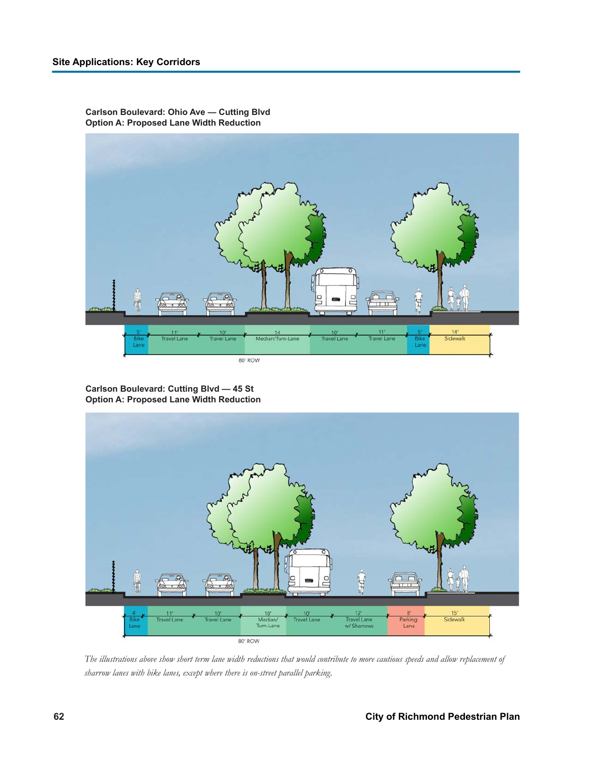

**Carlson Boulevard: Ohio Ave — Cutting Blvd Option A: Proposed Lane Width Reduction**

**Carlson Boulevard: Cutting Blvd — 45 St Option A: Proposed Lane Width Reduction**



*The illustrations above show short term lane width reductions that would contribute to more cautious speeds and allow replacement of sharrow lanes with bike lanes, except where there is on-street parallel parking.*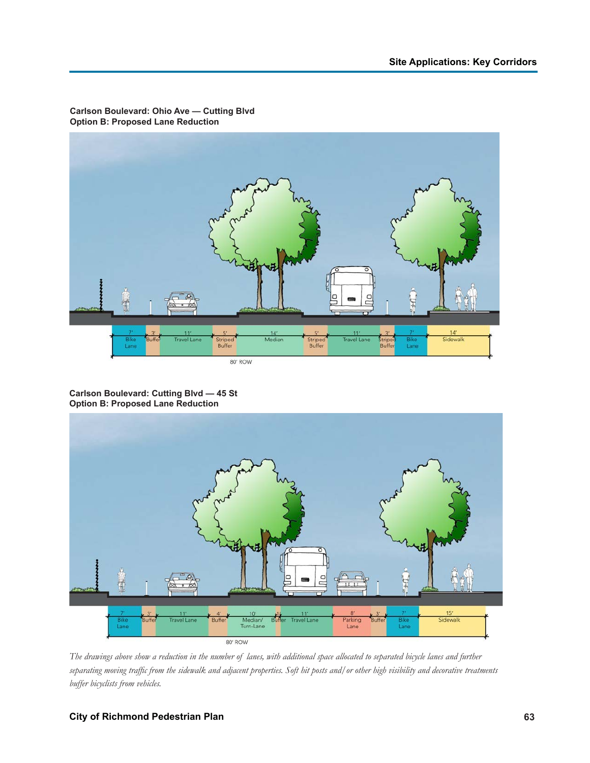

**Carlson Boulevard: Ohio Ave — Cutting Blvd Option B: Proposed Lane Reduction**

**Carlson Boulevard: Cutting Blvd — 45 St Option B: Proposed Lane Reduction**



*The drawings above show a reduction in the number of lanes, with additional space allocated to separated bicycle lanes and further separating moving traffic from the sidewalk and adjacent properties. Soft hit posts and/or other high visibility and decorative treatments buffer bicyclists from vehicles.*